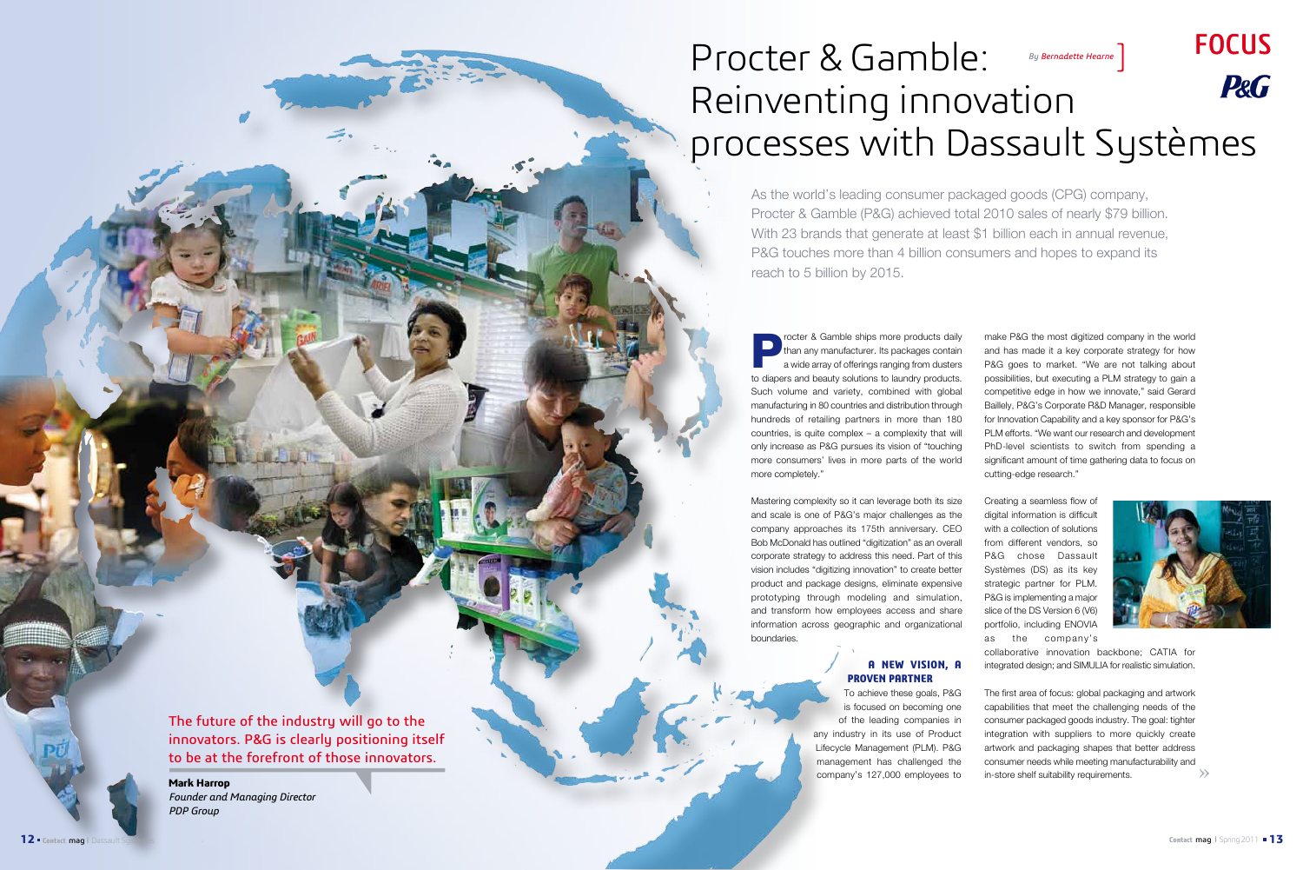make P&G the most digitized company in the world and has made it a key corporate strategy for how P&G goes to market. "We are not talking about possibilities, but executing a PLM strategy to gain a competitive edge in how we innovate," said Gerard Baillely, P&G's Corporate R&D Manager, responsible for Innovation Capability and a key sponsor for P&G's PLM efforts. "We want our research and development PhD-level scientists to switch from spending a significant amount of time gathering data to focus on cutting-edge research."

Creating a seamless flow of digital information is difficult with a collection of solutions from different vendors, so P&G chose Dassault Systèmes (DS) as its key strategic partner for PLM. P&G is implementing a major slice of the DS Version 6 (V6) portfolio, including ENOVIA as the company's



collaborative innovation backbone; CATIA for integrated design; and SIMULIA for realistic simulation.

rocter & Gamble ships more products daily than any manufacturer. Its packages contain a wide array of offerings ranging from dusters to diapers and beauty solutions to laundry products. Such volume and variety, combined with global manufacturing in 80 countries and distribution through hundreds of retailing partners in more than 180 countries, is quite complex – a complexity that will only increase as P&G pursues its vision of "touching more consumers' lives in more parts of the world more completely."

> » The first area of focus: global packaging and artwork capabilities that meet the challenging needs of the consumer packaged goods industry. The goal: tighter integration with suppliers to more quickly create artwork and packaging shapes that better address consumer needs while meeting manufacturability and in-store shelf suitability requirements. To achieve these goals, P&G is focused on becoming one of the leading companies in any industry in its use of Product Lifecycle Management (PLM). P&G management has challenged the company's 127,000 employees to

# Focus Procter & Gamble: *By Bernadette Hearne*] **P&G** Reinventing innovation processes with Dassault Systèmes

Mastering complexity so it can leverage both its size and scale is one of P&G's major challenges as the company approaches its 175th anniversary. CEO Bob McDonald has outlined "digitization" as an overall corporate strategy to address this need. Part of this vision includes "digitizing innovation" to create better product and package designs, eliminate expensive prototyping through modeling and simulation, and transform how employees access and share information across geographic and organizational boundaries.

## **A new vision, a proven partner**

As the world's leading consumer packaged goods (CPG) company, Procter & Gamble (P&G) achieved total 2010 sales of nearly \$79 billion. With 23 brands that generate at least \$1 billion each in annual revenue, P&G touches more than 4 billion consumers and hopes to expand its reach to 5 billion by 2015.

The future of the industry will go to the innovators. P&G is clearly positioning itself to be at the forefront of those innovators.

**Mark Harrop**  *Founder and Managing Director PDP Group*